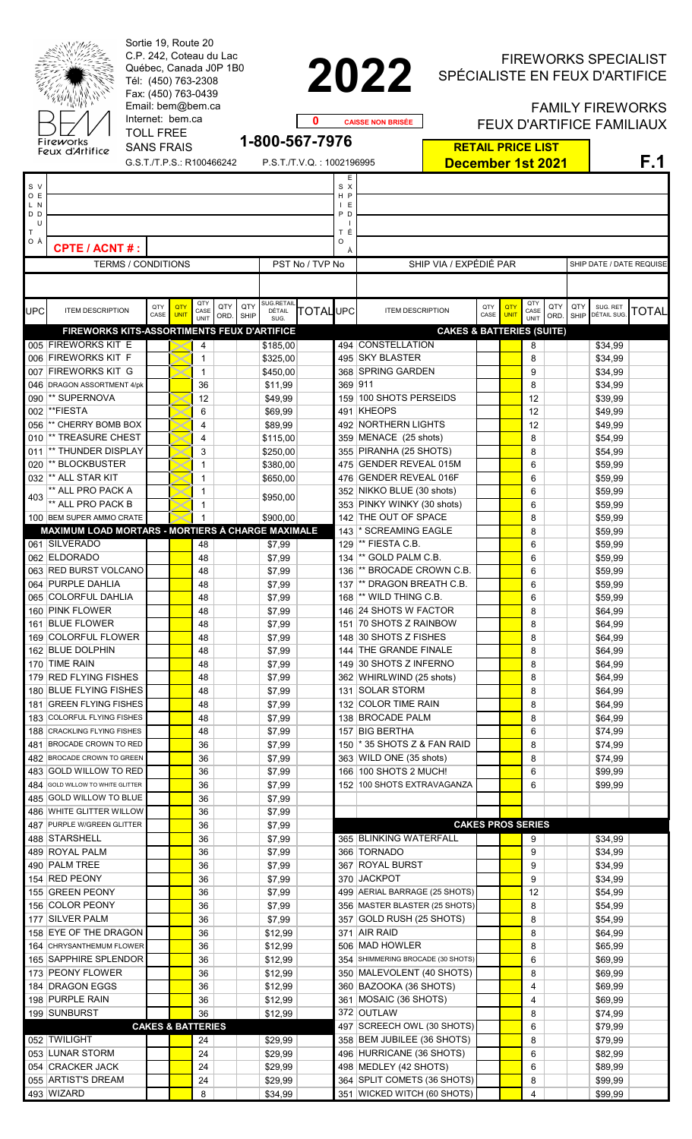| Sortie 19, Route 20<br>C.P. 242, Coteau du Lac<br>Québec, Canada J0P 1B0<br>Tél: (450) 763-2308<br>Fax: (450) 763-0439<br>Email: bem@bem.ca<br>Internet: bem.ca<br><b>TOLL FREE</b><br>Fireworks<br><b>SANS FRAIS</b> |                                                                    |             |                              |                           |             |                    |                           | 0<br>1-800-567-7976          |          | 2022<br><b>CAISSE NON BRISÉE</b>                               | <b>FIREWORKS SPECIALIST</b><br>SPÉCIALISTE EN FEUX D'ARTIFICE<br><b>FAMILY FIREWORKS</b><br><b>FEUX D'ARTIFICE FAMILIAUX</b> |                    |                     |             |                          |                         |       |  |  |
|-----------------------------------------------------------------------------------------------------------------------------------------------------------------------------------------------------------------------|--------------------------------------------------------------------|-------------|------------------------------|---------------------------|-------------|--------------------|---------------------------|------------------------------|----------|----------------------------------------------------------------|------------------------------------------------------------------------------------------------------------------------------|--------------------|---------------------|-------------|--------------------------|-------------------------|-------|--|--|
|                                                                                                                                                                                                                       | Feux d'Artifice                                                    |             |                              | G.S.T./T.P.S.: R100466242 |             |                    | P.S.T./T.V.Q.: 1002196995 |                              |          | <b>RETAIL PRICE LIST</b><br><b>December 1st 2021</b>           |                                                                                                                              |                    |                     |             |                          | F.1                     |       |  |  |
| S V                                                                                                                                                                                                                   |                                                                    |             |                              |                           |             |                    |                           |                              | Е<br>S X |                                                                |                                                                                                                              |                    |                     |             |                          |                         |       |  |  |
| O E<br>L N<br>D <sub>D</sub>                                                                                                                                                                                          |                                                                    |             |                              |                           |             |                    |                           | H P<br>I E<br>P <sub>D</sub> |          |                                                                |                                                                                                                              |                    |                     |             |                          |                         |       |  |  |
| U<br>Τ                                                                                                                                                                                                                |                                                                    |             |                              |                           |             |                    |                           |                              | тÉ       |                                                                |                                                                                                                              |                    |                     |             |                          |                         |       |  |  |
| ОÀ                                                                                                                                                                                                                    | <b>CPTE / ACNT#:</b>                                               |             |                              |                           |             |                    |                           |                              | O        |                                                                |                                                                                                                              |                    |                     |             |                          |                         |       |  |  |
|                                                                                                                                                                                                                       | <b>TERMS / CONDITIONS</b>                                          |             |                              |                           |             |                    | PST No / TVP No           |                              |          | SHIP VIA / EXPÉDIÉ PAR                                         |                                                                                                                              |                    |                     |             | SHIP DATE / DATE REQUISE |                         |       |  |  |
|                                                                                                                                                                                                                       |                                                                    |             | QTY                          |                           |             | SUG.RETAIL         |                           |                              | QTY      |                                                                |                                                                                                                              |                    |                     |             |                          |                         |       |  |  |
| UPC                                                                                                                                                                                                                   | <b>ITEM DESCRIPTION</b>                                            | QTY<br>CASE | QTY<br><b>UNIT</b>           | CASE<br>UNIT              | QTY<br>ORD. | QTY<br><b>SHIP</b> | DÉTAIL<br>SUG.            | <b>TOTAL</b> UPC             |          | <b>ITEM DESCRIPTION</b>                                        | QTY<br>CASE                                                                                                                  | QTY<br><b>UNIT</b> | CASE<br><b>UNIT</b> | QTY<br>ORD. | QTY<br><b>SHIP</b>       | SUG. RET<br>DÉTAIL SUG. | TOTAL |  |  |
|                                                                                                                                                                                                                       | FIREWORKS KITS-ASSORTIMENTS FEUX D'ARTIFICE<br>005 FIREWORKS KIT E |             |                              | 4                         |             |                    | \$185,00                  |                              |          | <b>CAKES &amp; BATTERIES (SUITE)</b><br>494 CONSTELLATION      |                                                                                                                              |                    | 8                   |             |                          | \$34,99                 |       |  |  |
|                                                                                                                                                                                                                       | 006 FIREWORKS KIT F                                                |             |                              | $\mathbf{1}$              |             |                    | \$325,00                  |                              |          | 495 SKY BLASTER                                                |                                                                                                                              |                    | 8                   |             |                          | \$34,99                 |       |  |  |
| 007                                                                                                                                                                                                                   | <b>FIREWORKS KIT G</b><br>046 DRAGON ASSORTMENT 4/pk               |             |                              | $\mathbf{1}$<br>36        |             |                    | \$450,00<br>\$11,99       |                              | 369 911  | 368 SPRING GARDEN                                              |                                                                                                                              |                    | 9<br>8              |             |                          | \$34,99<br>\$34,99      |       |  |  |
| 090                                                                                                                                                                                                                   | ** SUPERNOVA                                                       |             |                              | 12                        |             |                    | \$49,99                   |                              |          | 159 100 SHOTS PERSEIDS                                         |                                                                                                                              |                    | 12                  |             |                          | \$39,99                 |       |  |  |
| 002                                                                                                                                                                                                                   | **FIESTA                                                           |             |                              | 6                         |             |                    | \$69,99                   |                              |          | 491 KHEOPS                                                     |                                                                                                                              |                    | 12                  |             |                          | \$49,99                 |       |  |  |
| 056<br>010                                                                                                                                                                                                            | ** CHERRY BOMB BOX<br>** TREASURE CHEST                            |             |                              | 4<br>4                    |             |                    | \$89,99<br>\$115,00       |                              |          | 492 NORTHERN LIGHTS<br>359 MENACE (25 shots)                   |                                                                                                                              |                    | 12<br>8             |             |                          | \$49,99<br>\$54,99      |       |  |  |
| 011                                                                                                                                                                                                                   | ** THUNDER DISPLAY                                                 |             |                              | 3                         |             |                    | \$250,00                  |                              |          | 355 PIRANHA (25 SHOTS)                                         |                                                                                                                              |                    | 8                   |             |                          | \$54,99                 |       |  |  |
| 020                                                                                                                                                                                                                   | ** BLOCKBUSTER                                                     |             |                              | 1                         |             |                    | \$380,00                  |                              |          | 475 GENDER REVEAL 015M                                         |                                                                                                                              |                    | 6                   |             |                          | \$59,99                 |       |  |  |
|                                                                                                                                                                                                                       | 032  ** ALL STAR KIT<br>** ALL PRO PACK A                          |             |                              | $\mathbf{1}$<br>1         |             |                    | \$650,00                  |                              |          | 476 GENDER REVEAL 016F<br>352 NIKKO BLUE (30 shots)            |                                                                                                                              |                    | 6<br>6              |             |                          | \$59,99<br>\$59,99      |       |  |  |
| 403                                                                                                                                                                                                                   | ** ALL PRO PACK B                                                  |             |                              | 1                         |             |                    | \$950,00                  |                              |          | 353 PINKY WINKY (30 shots)                                     |                                                                                                                              |                    | 6                   |             |                          | \$59,99                 |       |  |  |
|                                                                                                                                                                                                                       | 100 BEM SUPER AMMO CRATE                                           |             |                              |                           |             |                    | \$900,00                  |                              |          | 142 THE OUT OF SPACE                                           |                                                                                                                              |                    | 8                   |             |                          | \$59,99                 |       |  |  |
|                                                                                                                                                                                                                       | MAXIMUM LOAD MORTARS - MORTIERS À CHARGE MAXIMALE<br>061 SILVERADO |             |                              | $\sqrt{48}$               |             |                    |                           |                              | 143      | * SCREAMING EAGLE<br>129 ** FIESTA C.B.                        |                                                                                                                              |                    | 8<br>6              |             |                          | \$59,99<br>\$59,99      |       |  |  |
|                                                                                                                                                                                                                       | 062 ELDORADO                                                       |             |                              | 48                        |             |                    | \$7,99<br>\$7,99          |                              |          | 134  ** GOLD PALM C.B.                                         |                                                                                                                              |                    | 6                   |             |                          | \$59,99                 |       |  |  |
|                                                                                                                                                                                                                       | 063 RED BURST VOLCANO                                              |             |                              | 48                        |             |                    | \$7,99                    |                              | 136      | ** BROCADE CROWN C.B.                                          |                                                                                                                              |                    | 6                   |             |                          | \$59,99                 |       |  |  |
|                                                                                                                                                                                                                       | 064 PURPLE DAHLIA                                                  |             |                              | 48                        |             |                    | \$7,99                    |                              |          | 137  ** DRAGON BREATH C.B.                                     |                                                                                                                              |                    | 6                   |             |                          | \$59,99                 |       |  |  |
|                                                                                                                                                                                                                       | 065 COLORFUL DAHLIA<br>160 PINK FLOWER                             |             |                              | 48<br>48                  |             |                    | \$7,99<br>\$7,99          |                              | 168      | ** WILD THING C.B.<br>146 24 SHOTS W FACTOR                    |                                                                                                                              |                    | 6<br>8              |             |                          | \$59,99<br>\$64,99      |       |  |  |
|                                                                                                                                                                                                                       | 161 BLUE FLOWER                                                    |             |                              | 48                        |             |                    | \$7,99                    |                              |          | 151 70 SHOTS Z RAINBOW                                         |                                                                                                                              |                    | 8                   |             |                          | \$64,99                 |       |  |  |
|                                                                                                                                                                                                                       | 169 COLORFUL FLOWER                                                |             |                              | 48                        |             |                    | \$7,99                    |                              |          | 148 30 SHOTS Z FISHES                                          |                                                                                                                              |                    | 8                   |             |                          | \$64,99                 |       |  |  |
|                                                                                                                                                                                                                       | 162 BLUE DOLPHIN<br>170 TIME RAIN                                  |             |                              | 48<br>48                  |             |                    | \$7,99<br>\$7,99          |                              |          | 144 THE GRANDE FINALE<br>149 30 SHOTS Z INFERNO                |                                                                                                                              |                    | 8<br>8              |             |                          | \$64,99<br>\$64,99      |       |  |  |
|                                                                                                                                                                                                                       | 179 RED FLYING FISHES                                              |             |                              | 48                        |             |                    | \$7,99                    |                              |          | 362 WHIRLWIND (25 shots)                                       |                                                                                                                              |                    | 8                   |             |                          | \$64,99                 |       |  |  |
|                                                                                                                                                                                                                       | 180 BLUE FLYING FISHES                                             |             |                              | 48                        |             |                    | \$7,99                    |                              |          | 131 SOLAR STORM                                                |                                                                                                                              |                    | 8                   |             |                          | \$64,99                 |       |  |  |
| 181                                                                                                                                                                                                                   | <b>GREEN FLYING FISHES</b>                                         |             |                              | 48                        |             |                    | \$7,99                    |                              |          | 132 COLOR TIME RAIN<br>138 BROCADE PALM                        |                                                                                                                              |                    | 8                   |             |                          | \$64,99                 |       |  |  |
| 183<br>188                                                                                                                                                                                                            | <b>COLORFUL FLYING FISHES</b><br><b>CRACKLING FLYING FISHES</b>    |             |                              | 48<br>48                  |             |                    | \$7,99<br>\$7,99          |                              |          | 157 BIG BERTHA                                                 |                                                                                                                              |                    | 8<br>6              |             |                          | \$64,99<br>\$74,99      |       |  |  |
| 481                                                                                                                                                                                                                   | <b>BROCADE CROWN TO RED</b>                                        |             |                              | 36                        |             |                    | \$7,99                    |                              | 150      | * 35 SHOTS Z & FAN RAID                                        |                                                                                                                              |                    | 8                   |             |                          | \$74,99                 |       |  |  |
| 482                                                                                                                                                                                                                   | BROCADE CROWN TO GREEN                                             |             |                              | 36                        |             |                    | \$7,99                    |                              |          | 363 WILD ONE (35 shots)                                        |                                                                                                                              |                    | 8                   |             |                          | \$74,99                 |       |  |  |
| 483<br>484                                                                                                                                                                                                            | <b>GOLD WILLOW TO RED</b><br>GOLD WILLOW TO WHITE GLITTER          |             |                              | 36<br>36                  |             |                    | \$7,99<br>\$7,99          |                              |          | 166 100 SHOTS 2 MUCH!<br>152 100 SHOTS EXTRAVAGANZA            |                                                                                                                              |                    | 6<br>6              |             |                          | \$99,99<br>\$99,99      |       |  |  |
| 485                                                                                                                                                                                                                   | <b>GOLD WILLOW TO BLUE</b>                                         |             |                              | 36                        |             |                    | \$7,99                    |                              |          |                                                                |                                                                                                                              |                    |                     |             |                          |                         |       |  |  |
|                                                                                                                                                                                                                       | 486 WHITE GLITTER WILLOW                                           |             |                              | 36                        |             |                    | \$7,99                    |                              |          |                                                                |                                                                                                                              |                    |                     |             |                          |                         |       |  |  |
| 487                                                                                                                                                                                                                   | PURPLE W/GREEN GLITTER                                             |             |                              | 36                        |             |                    | \$7,99                    |                              |          |                                                                | <b>CAKES PROS SERIES</b>                                                                                                     |                    |                     |             |                          |                         |       |  |  |
|                                                                                                                                                                                                                       | 488 STARSHELL<br>489 ROYAL PALM                                    |             |                              | 36<br>36                  |             |                    | \$7,99<br>\$7,99          |                              |          | 365 BLINKING WATERFALL<br>366 TORNADO                          |                                                                                                                              |                    | 9<br>9              |             |                          | \$34,99<br>\$34,99      |       |  |  |
|                                                                                                                                                                                                                       | 490 PALM TREE                                                      |             |                              | 36                        |             |                    | \$7,99                    |                              |          | 367 ROYAL BURST                                                |                                                                                                                              |                    | 9                   |             |                          | \$34,99                 |       |  |  |
|                                                                                                                                                                                                                       | 154 RED PEONY                                                      |             |                              | 36                        |             |                    | \$7,99                    |                              |          | 370 JACKPOT                                                    |                                                                                                                              |                    | 9                   |             |                          | \$34,99                 |       |  |  |
|                                                                                                                                                                                                                       | 155 GREEN PEONY<br>156  COLOR PEONY                                |             |                              | 36<br>36                  |             |                    | \$7,99<br>\$7,99          |                              |          | 499 AERIAL BARRAGE (25 SHOTS)<br>356 MASTER BLASTER (25 SHOTS) |                                                                                                                              |                    | 12<br>8             |             |                          | \$54,99<br>\$54,99      |       |  |  |
| 177                                                                                                                                                                                                                   | <b>SILVER PALM</b>                                                 |             |                              | 36                        |             |                    | \$7,99                    |                              |          | 357 GOLD RUSH (25 SHOTS)                                       |                                                                                                                              |                    | 8                   |             |                          | \$54,99                 |       |  |  |
|                                                                                                                                                                                                                       | 158 EYE OF THE DRAGON                                              |             |                              | 36                        |             |                    | \$12,99                   |                              |          | 371 AIR RAID                                                   |                                                                                                                              |                    | 8                   |             |                          | \$64,99                 |       |  |  |
|                                                                                                                                                                                                                       | 164 CHRYSANTHEMUM FLOWER                                           |             |                              | 36                        |             |                    | \$12,99                   |                              |          | 506 MAD HOWLER                                                 |                                                                                                                              |                    | 8                   |             |                          | \$65,99                 |       |  |  |
|                                                                                                                                                                                                                       | 165  SAPPHIRE SPLENDOR<br>173 PEONY FLOWER                         |             |                              | 36<br>36                  |             |                    | \$12,99<br>\$12,99        |                              |          | 354 SHIMMERING BROCADE (30 SHOTS)<br>350 MALEVOLENT (40 SHOTS) |                                                                                                                              |                    | 6<br>8              |             |                          | \$69,99<br>\$69,99      |       |  |  |
|                                                                                                                                                                                                                       | 184 DRAGON EGGS                                                    |             |                              | 36                        |             |                    | \$12,99                   |                              |          | 360 BAZOOKA (36 SHOTS)                                         |                                                                                                                              |                    | 4                   |             |                          | \$69,99                 |       |  |  |
|                                                                                                                                                                                                                       | 198 PURPLE RAIN                                                    |             |                              | 36                        |             |                    | \$12,99                   |                              |          | 361 MOSAIC (36 SHOTS)                                          |                                                                                                                              |                    | 4                   |             |                          | \$69,99                 |       |  |  |
|                                                                                                                                                                                                                       | 199 SUNBURST                                                       |             | <b>CAKES &amp; BATTERIES</b> | 36                        |             |                    | \$12,99                   |                              |          | 372 OUTLAW<br>497 SCREECH OWL (30 SHOTS)                       |                                                                                                                              |                    | 8<br>6              |             |                          | \$74,99<br>\$79,99      |       |  |  |
|                                                                                                                                                                                                                       | 052 TWILIGHT                                                       |             |                              | 24                        |             |                    | \$29,99                   |                              |          | 358 BEM JUBILEE (36 SHOTS)                                     |                                                                                                                              |                    | 8                   |             |                          | \$79,99                 |       |  |  |
|                                                                                                                                                                                                                       | 053 LUNAR STORM                                                    |             |                              | 24                        |             |                    | \$29,99                   |                              |          | 496 HURRICANE (36 SHOTS)                                       |                                                                                                                              |                    | 6                   |             |                          | \$82,99                 |       |  |  |
|                                                                                                                                                                                                                       | 054 CRACKER JACK                                                   |             |                              | 24                        |             |                    | \$29,99                   |                              |          | 498 MEDLEY (42 SHOTS)                                          |                                                                                                                              |                    | 6                   |             |                          | \$89,99                 |       |  |  |
|                                                                                                                                                                                                                       | 055 ARTIST'S DREAM<br>493 WIZARD                                   |             |                              | 24<br>8                   |             |                    | \$29,99<br>\$34,99        |                              |          | 364 SPLIT COMETS (36 SHOTS)<br>351 WICKED WITCH (60 SHOTS)     |                                                                                                                              |                    | 8<br>4              |             |                          | \$99,99<br>\$99,99      |       |  |  |
|                                                                                                                                                                                                                       |                                                                    |             |                              |                           |             |                    |                           |                              |          |                                                                |                                                                                                                              |                    |                     |             |                          |                         |       |  |  |